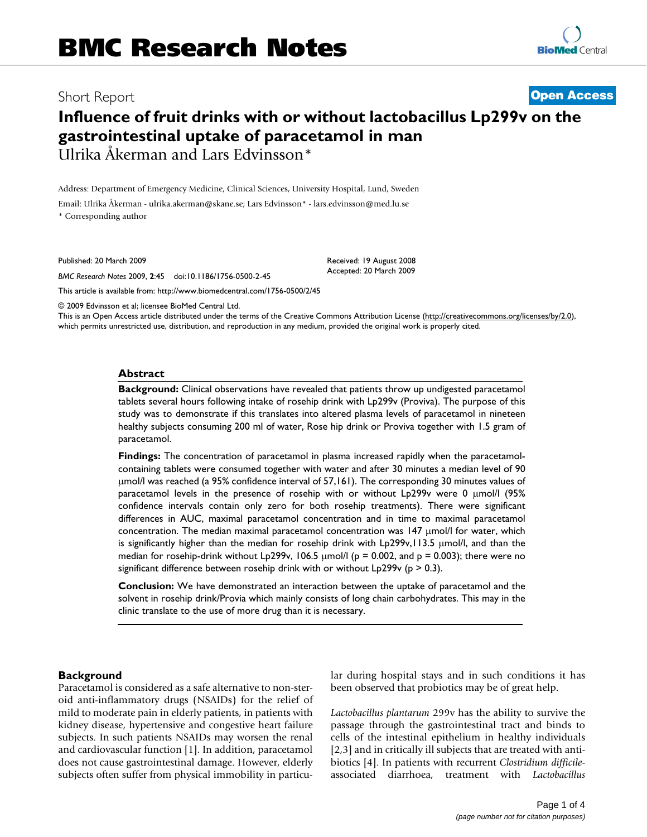# Short Report **[Open Access](http://www.biomedcentral.com/info/about/charter/)**

# **Influence of fruit drinks with or without lactobacillus Lp299v on the gastrointestinal uptake of paracetamol in man** Ulrika Åkerman and Lars Edvinsson\*

Address: Department of Emergency Medicine, Clinical Sciences, University Hospital, Lund, Sweden

Email: Ulrika Åkerman - ulrika.akerman@skane.se; Lars Edvinsson\* - lars.edvinsson@med.lu.se \* Corresponding author

Published: 20 March 2009

*BMC Research Notes* 2009, **2**:45 doi:10.1186/1756-0500-2-45

Received: 19 August 2008 Accepted: 20 March 2009

[This article is available from: http://www.biomedcentral.com/1756-0500/2/45](http://www.biomedcentral.com/1756-0500/2/45)

© 2009 Edvinsson et al; licensee BioMed Central Ltd.

This is an Open Access article distributed under the terms of the Creative Commons Attribution License [\(http://creativecommons.org/licenses/by/2.0\)](http://creativecommons.org/licenses/by/2.0), which permits unrestricted use, distribution, and reproduction in any medium, provided the original work is properly cited.

#### **Abstract**

**Background:** Clinical observations have revealed that patients throw up undigested paracetamol tablets several hours following intake of rosehip drink with Lp299v (Proviva). The purpose of this study was to demonstrate if this translates into altered plasma levels of paracetamol in nineteen healthy subjects consuming 200 ml of water, Rose hip drink or Proviva together with 1.5 gram of paracetamol.

**Findings:** The concentration of paracetamol in plasma increased rapidly when the paracetamolcontaining tablets were consumed together with water and after 30 minutes a median level of 90 μmol/l was reached (a 95% confidence interval of 57,161). The corresponding 30 minutes values of paracetamol levels in the presence of rosehip with or without Lp299v were 0 μmol/l (95% confidence intervals contain only zero for both rosehip treatments). There were significant differences in AUC, maximal paracetamol concentration and in time to maximal paracetamol concentration. The median maximal paracetamol concentration was 147 μmol/l for water, which is significantly higher than the median for rosehip drink with Lp299v,113.5 μmol/l, and than the median for rosehip-drink without Lp299v, 106.5  $\mu$ mol/l (p = 0.002, and p = 0.003); there were no significant difference between rosehip drink with or without  $L_p299v$  (p  $> 0.3$ ).

**Conclusion:** We have demonstrated an interaction between the uptake of paracetamol and the solvent in rosehip drink/Provia which mainly consists of long chain carbohydrates. This may in the clinic translate to the use of more drug than it is necessary.

#### **Background**

Paracetamol is considered as a safe alternative to non-steroid anti-inflammatory drugs (NSAIDs) for the relief of mild to moderate pain in elderly patients, in patients with kidney disease, hypertensive and congestive heart failure subjects. In such patients NSAIDs may worsen the renal and cardiovascular function [1]. In addition, paracetamol does not cause gastrointestinal damage. However, elderly subjects often suffer from physical immobility in particular during hospital stays and in such conditions it has been observed that probiotics may be of great help.

*Lactobacillus plantarum* 299v has the ability to survive the passage through the gastrointestinal tract and binds to cells of the intestinal epithelium in healthy individuals [2,3] and in critically ill subjects that are treated with antibiotics [4]. In patients with recurrent *Clostridium difficile*associated diarrhoea, treatment with *Lactobacillus*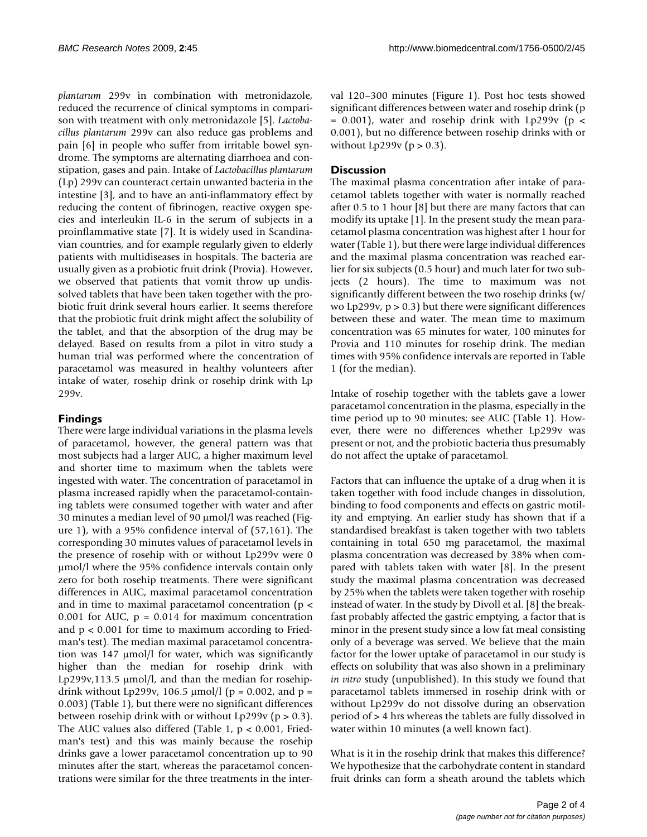*plantarum* 299v in combination with metronidazole, reduced the recurrence of clinical symptoms in comparison with treatment with only metronidazole [5]. *Lactobacillus plantarum* 299v can also reduce gas problems and pain [6] in people who suffer from irritable bowel syndrome. The symptoms are alternating diarrhoea and constipation, gases and pain. Intake of *Lactobacillus plantarum* (Lp) 299v can counteract certain unwanted bacteria in the intestine [3], and to have an anti-inflammatory effect by reducing the content of fibrinogen, reactive oxygen species and interleukin IL-6 in the serum of subjects in a proinflammative state [7]. It is widely used in Scandinavian countries, and for example regularly given to elderly patients with multidiseases in hospitals. The bacteria are usually given as a probiotic fruit drink (Provia). However, we observed that patients that vomit throw up undissolved tablets that have been taken together with the probiotic fruit drink several hours earlier. It seems therefore that the probiotic fruit drink might affect the solubility of the tablet, and that the absorption of the drug may be delayed. Based on results from a pilot in vitro study a human trial was performed where the concentration of paracetamol was measured in healthy volunteers after intake of water, rosehip drink or rosehip drink with Lp 299v.

# **Findings**

There were large individual variations in the plasma levels of paracetamol, however, the general pattern was that most subjects had a larger AUC, a higher maximum level and shorter time to maximum when the tablets were ingested with water. The concentration of paracetamol in plasma increased rapidly when the paracetamol-containing tablets were consumed together with water and after 30 minutes a median level of 90 μmol/l was reached (Figure 1), with a 95% confidence interval of (57,161). The corresponding 30 minutes values of paracetamol levels in the presence of rosehip with or without Lp299v were 0 μmol/l where the 95% confidence intervals contain only zero for both rosehip treatments. There were significant differences in AUC, maximal paracetamol concentration and in time to maximal paracetamol concentration (p < 0.001 for AUC,  $p = 0.014$  for maximum concentration and  $p < 0.001$  for time to maximum according to Friedman's test). The median maximal paracetamol concentration was 147 μmol/l for water, which was significantly higher than the median for rosehip drink with Lp299v,113.5 μmol/l, and than the median for rosehipdrink without Lp299v, 106.5  $\mu$ mol/l (p = 0.002, and p = 0.003) (Table 1), but there were no significant differences between rosehip drink with or without Lp299v ( $p > 0.3$ ). The AUC values also differed (Table 1, p < 0.001, Friedman's test) and this was mainly because the rosehip drinks gave a lower paracetamol concentration up to 90 minutes after the start, whereas the paracetamol concentrations were similar for the three treatments in the interval 120–300 minutes (Figure 1). Post hoc tests showed significant differences between water and rosehip drink (p  $= 0.001$ ), water and rosehip drink with Lp299v (p < 0.001), but no difference between rosehip drinks with or without Lp299v ( $p > 0.3$ ).

# **Discussion**

The maximal plasma concentration after intake of paracetamol tablets together with water is normally reached after 0.5 to 1 hour [8] but there are many factors that can modify its uptake [1]. In the present study the mean paracetamol plasma concentration was highest after 1 hour for water (Table 1), but there were large individual differences and the maximal plasma concentration was reached earlier for six subjects (0.5 hour) and much later for two subjects (2 hours). The time to maximum was not significantly different between the two rosehip drinks (w/ wo Lp299v,  $p > 0.3$ ) but there were significant differences between these and water. The mean time to maximum concentration was 65 minutes for water, 100 minutes for Provia and 110 minutes for rosehip drink. The median times with 95% confidence intervals are reported in Table 1 (for the median).

Intake of rosehip together with the tablets gave a lower paracetamol concentration in the plasma, especially in the time period up to 90 minutes; see AUC (Table 1). However, there were no differences whether Lp299v was present or not, and the probiotic bacteria thus presumably do not affect the uptake of paracetamol.

Factors that can influence the uptake of a drug when it is taken together with food include changes in dissolution, binding to food components and effects on gastric motility and emptying. An earlier study has shown that if a standardised breakfast is taken together with two tablets containing in total 650 mg paracetamol, the maximal plasma concentration was decreased by 38% when compared with tablets taken with water [8]. In the present study the maximal plasma concentration was decreased by 25% when the tablets were taken together with rosehip instead of water. In the study by Divoll et al. [8] the breakfast probably affected the gastric emptying, a factor that is minor in the present study since a low fat meal consisting only of a beverage was served. We believe that the main factor for the lower uptake of paracetamol in our study is effects on solubility that was also shown in a preliminary *in vitro* study (unpublished). In this study we found that paracetamol tablets immersed in rosehip drink with or without Lp299v do not dissolve during an observation period of > 4 hrs whereas the tablets are fully dissolved in water within 10 minutes (a well known fact).

What is it in the rosehip drink that makes this difference? We hypothesize that the carbohydrate content in standard fruit drinks can form a sheath around the tablets which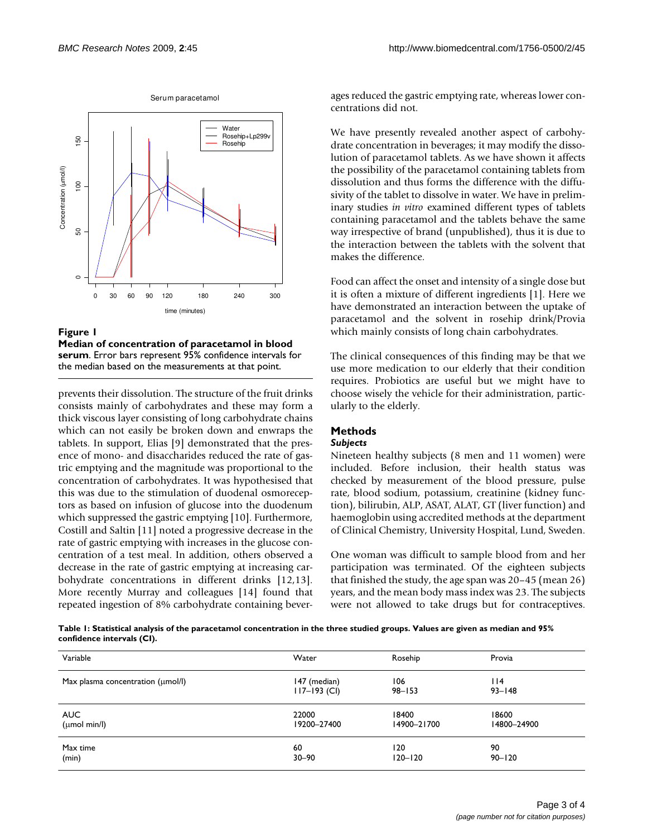

Figure 1

**Median of concentration of paracetamol in blood serum**. Error bars represent 95% confidence intervals for

prevents their dissolution. The structure of the fruit drinks consists mainly of carbohydrates and these may form a thick viscous layer consisting of long carbohydrate chains which can not easily be broken down and enwraps the tablets. In support, Elias [9] demonstrated that the presence of mono- and disaccharides reduced the rate of gastric emptying and the magnitude was proportional to the concentration of carbohydrates. It was hypothesised that this was due to the stimulation of duodenal osmoreceptors as based on infusion of glucose into the duodenum which suppressed the gastric emptying [10]. Furthermore, Costill and Saltin [11] noted a progressive decrease in the rate of gastric emptying with increases in the glucose concentration of a test meal. In addition, others observed a decrease in the rate of gastric emptying at increasing carbohydrate concentrations in different drinks [12,13]. More recently Murray and colleagues [14] found that repeated ingestion of 8% carbohydrate containing beverages reduced the gastric emptying rate, whereas lower concentrations did not.

We have presently revealed another aspect of carbohydrate concentration in beverages; it may modify the dissolution of paracetamol tablets. As we have shown it affects the possibility of the paracetamol containing tablets from dissolution and thus forms the difference with the diffusivity of the tablet to dissolve in water. We have in preliminary studies *in vitro* examined different types of tablets containing paracetamol and the tablets behave the same way irrespective of brand (unpublished), thus it is due to the interaction between the tablets with the solvent that makes the difference.

Food can affect the onset and intensity of a single dose but it is often a mixture of different ingredients [1]. Here we have demonstrated an interaction between the uptake of paracetamol and the solvent in rosehip drink/Provia which mainly consists of long chain carbohydrates.

The clinical consequences of this finding may be that we use more medication to our elderly that their condition requires. Probiotics are useful but we might have to choose wisely the vehicle for their administration, particularly to the elderly.

# **Methods**

#### *Subjects*

Nineteen healthy subjects (8 men and 11 women) were included. Before inclusion, their health status was checked by measurement of the blood pressure, pulse rate, blood sodium, potassium, creatinine (kidney function), bilirubin, ALP, ASAT, ALAT, GT (liver function) and haemoglobin using accredited methods at the department of Clinical Chemistry, University Hospital, Lund, Sweden.

One woman was difficult to sample blood from and her participation was terminated. Of the eighteen subjects that finished the study, the age span was 20–45 (mean 26) years, and the mean body mass index was 23. The subjects were not allowed to take drugs but for contraceptives.

**Table 1: Statistical analysis of the paracetamol concentration in the three studied groups. Values are given as median and 95% confidence intervals (CI).**

| Variable                                      | Water            | Rosehip     | Provia      |
|-----------------------------------------------|------------------|-------------|-------------|
| Max plasma concentration $(\mu \text{mol/l})$ | 147 (median)     | 106         | 114         |
|                                               | $117 - 193$ (CI) | $98 - 153$  | $93 - 148$  |
| <b>AUC</b>                                    | 22000            | 18400       | 18600       |
| $(\mu$ mol min/l $)$                          | 19200-27400      | 14900-21700 | 14800-24900 |
| Max time                                      | 60               | 120         | 90          |
| (min)                                         | $30 - 90$        | $120 - 120$ | $90 - 120$  |